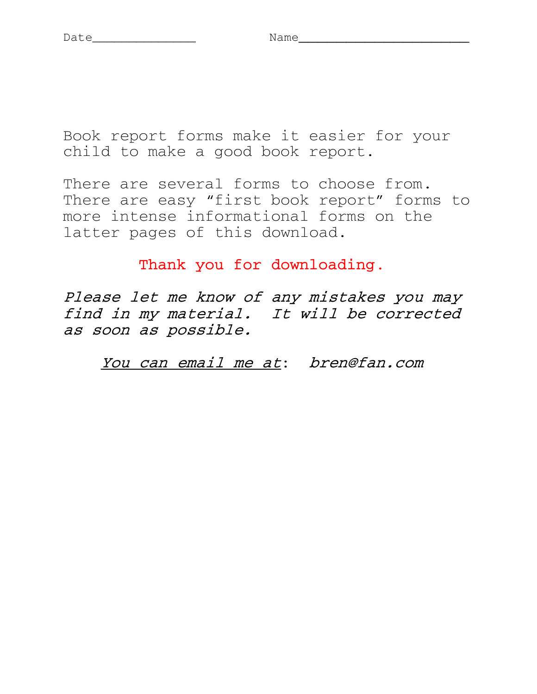Book report forms make it easier for your child to make a good book report.

There are several forms to choose from. There are easy "first book report" forms to more intense informational forms on the latter pages of this download.

Thank you for downloading.

Please let me know of any mistakes you may find in my material. It will be corrected as soon as possible. 

You can email me at: bren@fan.com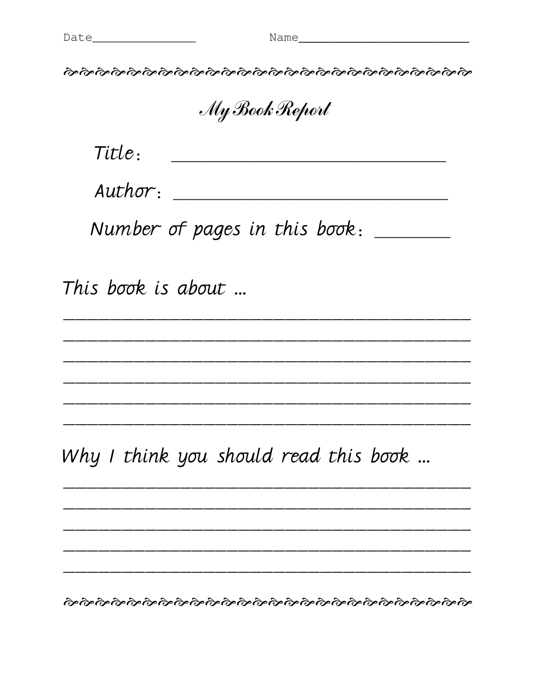<u> 1989 - Andrea Barbara, Amerikaansk politiker (d. 1989)</u>

<u> 1989 - Jan Barbara, margaret amerikan basar dan berasal dan berasal dalam basar dalam basar dalam basar dala</u>

ર્જાન્દ્ર ર્જાન્દ્ર ર્જાન્દ્ર ર્જાન્દ્ર ર્જાન્દ્ર ર્જાન્દ્ર ર્જાન્દ્ર ર્જાન્દ્ર ર્જાન્દ્ર ર્જાન્દ્ર રજન્દ્ર રજન્દ<br>જાન્દ્ર રજન્દ્ર રજન્દ્ર રજન્દ્ર રજન્દ્ર રજન્દ્ર રજન્દ્ર રજન્દ્ર રજન્દ્ર રજન્દ્ર રજન્દ્ર રજન્દ્ર

My Book Report

Title:

 $Author:$ 

Number of pages in this book:

This book is about ...

Why I think you should read this book ...

ৰ্ক্তক্তিৰ্জক্তৰ্জক্তৰ্জক্তৰ্জক্তৰ্জক্তৰ্জক্তৰ্জক্তৰ্জক্তৰ্জক্তৰ্জক্তৰ্জক্ত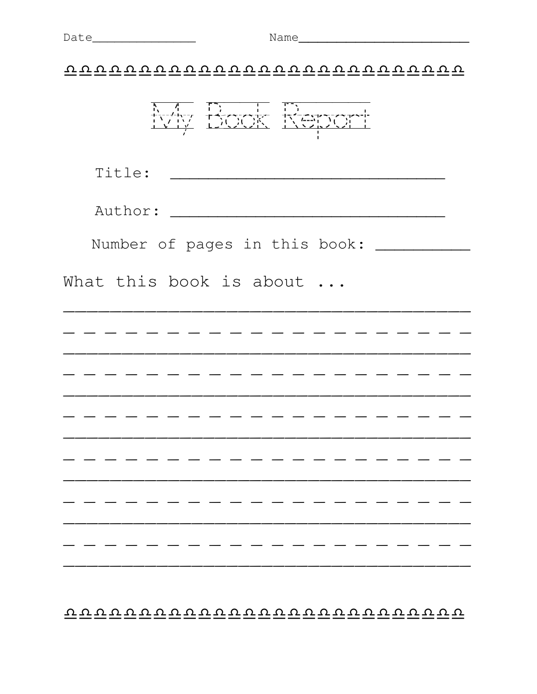$\overbrace{\mathtt{v}\,\mathtt{v}\,\mathtt{v}\,\mathtt{v}\,\mathtt{v}\,\mathtt{v}\,\mathtt{v}\,\mathtt{v}\,\mathtt{v}\,\mathtt{v}\,\mathtt{v}\,\mathtt{v}\,\mathtt{v}\,\mathtt{v}\,\mathtt{v}\,\mathtt{v}\,\mathtt{v}\,\mathtt{v}\,\mathtt{v}\,\mathtt{v}}$ 

| Number of pages in this book: ____ |
|------------------------------------|
| What this book is about            |
|                                    |
|                                    |
|                                    |
|                                    |
|                                    |
|                                    |
|                                    |
|                                    |

 $\overbrace{\mathtt{v} \, \mathtt{v} \, \mathtt{v} \, \mathtt{v} \, \mathtt{v} \, \mathtt{v} \, \mathtt{v} \, \mathtt{v} \, \mathtt{v} \, \mathtt{v} \, \mathtt{v} \, \mathtt{v} \, \mathtt{v} \, \mathtt{v} \, \mathtt{v} \, \mathtt{v} \, \mathtt{v} \, \mathtt{v} \, \mathtt{v} \, \mathtt{v} \, \mathtt{v} \, \mathtt{v} \, \mathtt{v} \, \mathtt{v} \, \mathtt{v} \, \mathtt{v} \, \mathtt{v} \, \$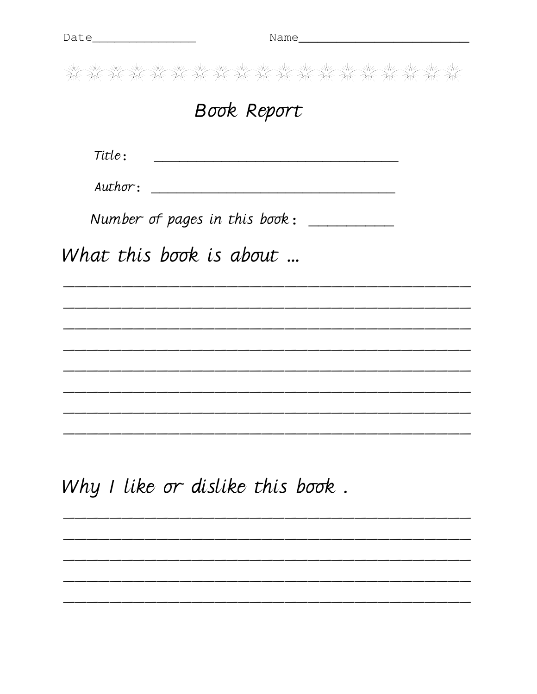<u> 1989 - Johann John Harry Harry Harry Harry Harry Harry Harry Harry Harry Harry Harry Harry Harry Harry Harry</u>

<u>, and a set of the set of the set of the set of the set of the set of the set of the set of the set of the set</u>

the the time the time the time the time the time the time the time the

## Book Report

 $\textit{Title}:$ 

Number of pages in this book: \_\_\_\_\_\_\_\_\_\_

What this book is about ...

Why I like or dislike this book.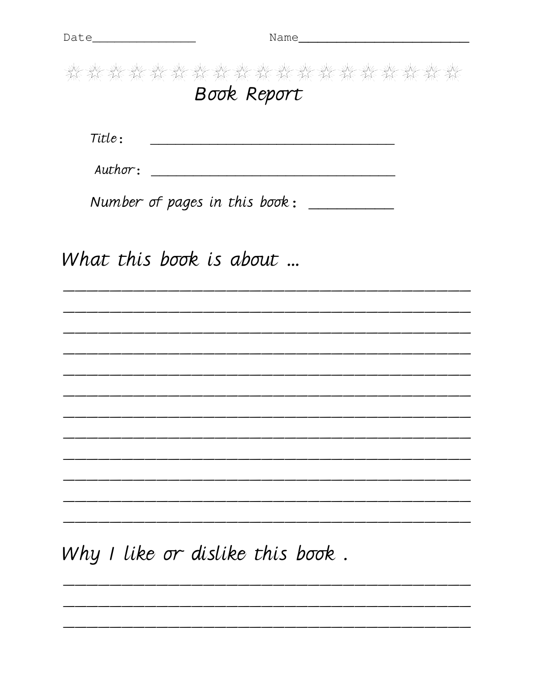Book Report Title: <u> 1980 - Johann Barn, mars and de Brazilian (b. 1980)</u> Number of pages in this book: \_\_\_\_\_\_\_\_\_\_ What this book is about ... 

Why I like or dislike this book.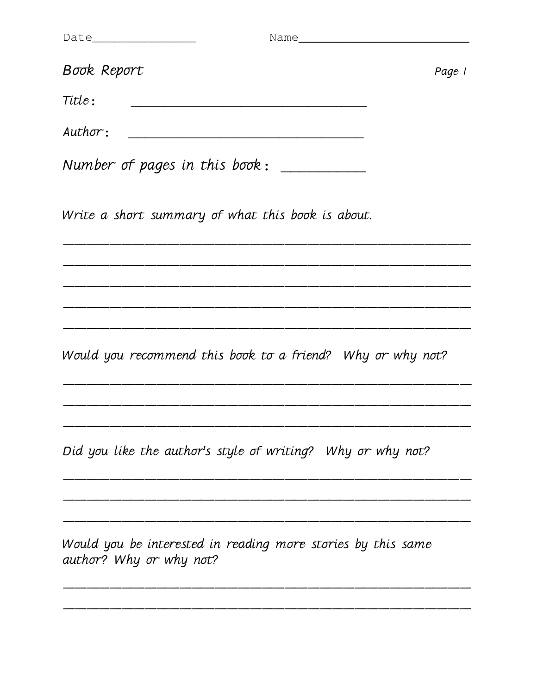| Book Report                                                                             | Page 1 |
|-----------------------------------------------------------------------------------------|--------|
| Title:                                                                                  |        |
| Author:                                                                                 |        |
| Number of pages in this book: ___________                                               |        |
| Write a short summary of what this book is about.                                       |        |
|                                                                                         |        |
|                                                                                         |        |
| Would you recommend this book to a friend? Why or why not?                              |        |
|                                                                                         |        |
| Did you like the author's style of writing? Why or why not?                             |        |
|                                                                                         |        |
| Would you be interested in reading more stories by this same<br>author? Why or why not? |        |

\_\_\_\_\_\_\_\_\_\_\_\_\_\_\_\_\_\_\_\_\_\_\_\_\_\_\_\_\_\_\_\_\_\_\_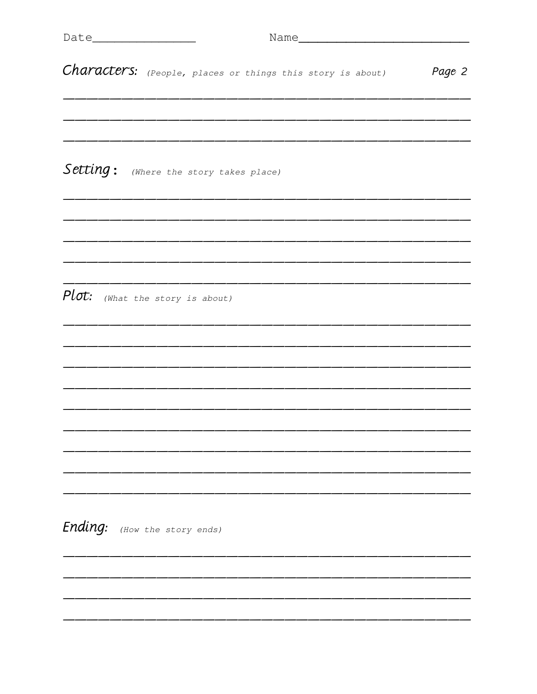| Characters: (People, places or things this story is about) | Page 2 |
|------------------------------------------------------------|--------|
|                                                            |        |
|                                                            |        |
|                                                            |        |
| Setting: (Where the story takes place)                     |        |
|                                                            |        |
|                                                            |        |
|                                                            |        |
|                                                            |        |
| Plot: (What the story is about)                            |        |
|                                                            |        |
|                                                            |        |
|                                                            |        |
|                                                            |        |
|                                                            |        |
|                                                            |        |
|                                                            |        |
|                                                            |        |
| Ending:<br>(How the story ends)                            |        |
|                                                            |        |
|                                                            |        |
|                                                            |        |